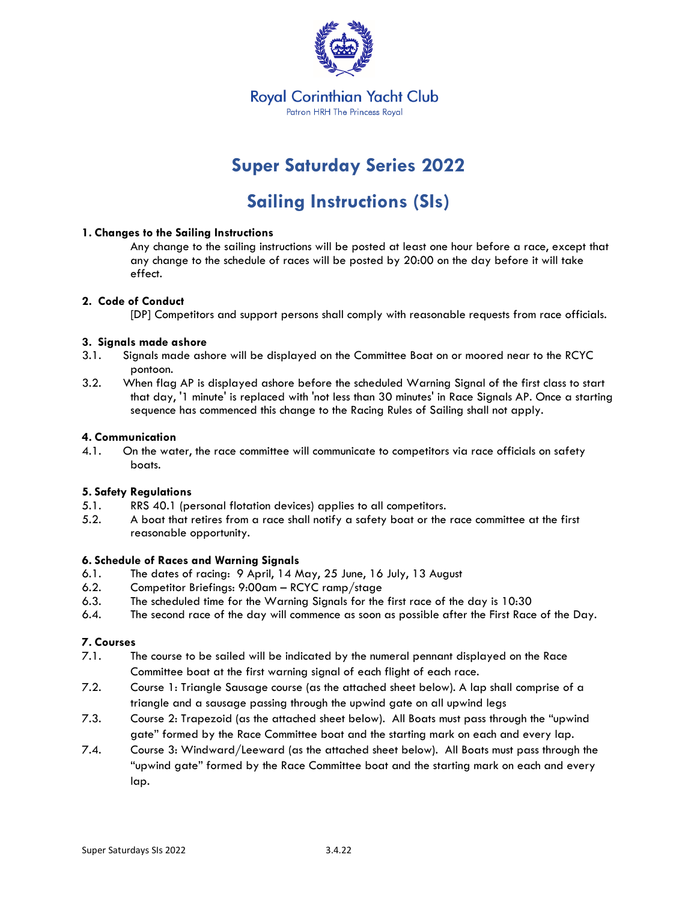

## **Super Saturday Series 2022**

## **Sailing Instructions (SIs)**

#### **1. Changes to the Sailing Instructions**

Any change to the sailing instructions will be posted at least one hour before a race, except that any change to the schedule of races will be posted by 20:00 on the day before it will take effect.

#### **2. Code of Conduct**

[DP] Competitors and support persons shall comply with reasonable requests from race officials.

#### **3. Signals made ashore**

- 3.1. Signals made ashore will be displayed on the Committee Boat on or moored near to the RCYC pontoon.
- 3.2. When flag AP is displayed ashore before the scheduled Warning Signal of the first class to start that day, '1 minute' is replaced with 'not less than 30 minutes' in Race Signals AP. Once a starting sequence has commenced this change to the Racing Rules of Sailing shall not apply.

#### **4. Communication**

4.1. On the water, the race committee will communicate to competitors via race officials on safety boats.

#### **5. Safety Regulations**

- 5.1. RRS 40.1 (personal flotation devices) applies to all competitors.
- 5.2. A boat that retires from a race shall notify a safety boat or the race committee at the first reasonable opportunity.

#### **6. Schedule of Races and Warning Signals**

- 6.1. The dates of racing: 9 April, 14 May, 25 June, 16 July, 13 August
- 6.2. Competitor Briefings: 9:00am RCYC ramp/stage
- 6.3. The scheduled time for the Warning Signals for the first race of the day is 10:30
- 6.4. The second race of the day will commence as soon as possible after the First Race of the Day.

#### **7. Courses**

- 7.1. The course to be sailed will be indicated by the numeral pennant displayed on the Race Committee boat at the first warning signal of each flight of each race.
- 7.2. Course 1: Triangle Sausage course (as the attached sheet below). A lap shall comprise of a triangle and a sausage passing through the upwind gate on all upwind legs
- 7.3. Course 2: Trapezoid (as the attached sheet below). All Boats must pass through the "upwind gate" formed by the Race Committee boat and the starting mark on each and every lap.
- 7.4. Course 3: Windward/Leeward (as the attached sheet below). All Boats must pass through the "upwind gate" formed by the Race Committee boat and the starting mark on each and every lap.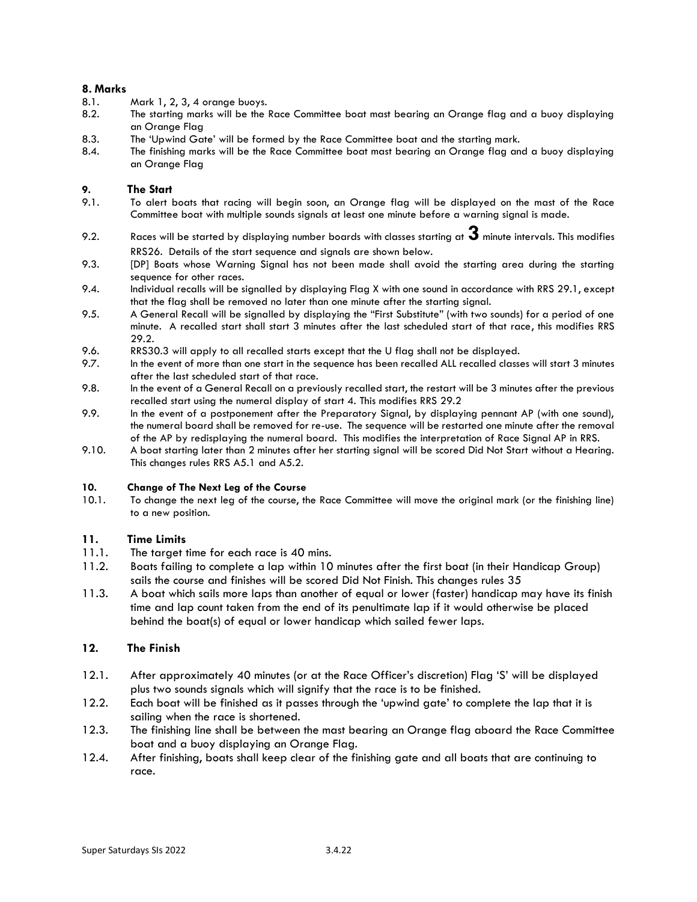#### **8. Marks**

- 8.1. Mark 1, 2, 3, 4 orange buoys.
- 8.2. The starting marks will be the Race Committee boat mast bearing an Orange flag and a buoy displaying an Orange Flag
- 8.3. The 'Upwind Gate' will be formed by the Race Committee boat and the starting mark.
- 8.4. The finishing marks will be the Race Committee boat mast bearing an Orange flag and a buoy displaying an Orange Flag

#### **9. The Start**

- 9.1. To alert boats that racing will begin soon, an Orange flag will be displayed on the mast of the Race Committee boat with multiple sounds signals at least one minute before a warning signal is made.
- 9.2. Races will be started by displaying number boards with classes starting at **3** minute intervals. This modifies RRS26. Details of the start sequence and signals are shown below.
- 9.3. [DP] Boats whose Warning Signal has not been made shall avoid the starting area during the starting sequence for other races.
- 9.4. Individual recalls will be signalled by displaying Flag X with one sound in accordance with RRS 29.1, except that the flag shall be removed no later than one minute after the starting signal.
- 9.5. A General Recall will be signalled by displaying the "First Substitute" (with two sounds) for a period of one minute. A recalled start shall start 3 minutes after the last scheduled start of that race, this modifies RRS 29.2.
- 9.6. RRS30.3 will apply to all recalled starts except that the U flag shall not be displayed.
- 9.7. In the event of more than one start in the sequence has been recalled ALL recalled classes will start 3 minutes after the last scheduled start of that race.
- 9.8. In the event of a General Recall on a previously recalled start, the restart will be 3 minutes after the previous recalled start using the numeral display of start 4. This modifies RRS 29.2
- 9.9. In the event of a postponement after the Preparatory Signal, by displaying pennant AP (with one sound), the numeral board shall be removed for re-use. The sequence will be restarted one minute after the removal of the AP by redisplaying the numeral board. This modifies the interpretation of Race Signal AP in RRS.
- 9.10. A boat starting later than 2 minutes after her starting signal will be scored Did Not Start without a Hearing. This changes rules RRS A5.1 and A5.2.

#### **10. Change of The Next Leg of the Course**

10.1. To change the next leg of the course, the Race Committee will move the original mark (or the finishing line) to a new position.

#### **11. Time Limits**

- 11.1. The target time for each race is 40 mins.
- 11.2. Boats failing to complete a lap within 10 minutes after the first boat (in their Handicap Group) sails the course and finishes will be scored Did Not Finish. This changes rules 35
- 11.3. A boat which sails more laps than another of equal or lower (faster) handicap may have its finish time and lap count taken from the end of its penultimate lap if it would otherwise be placed behind the boat(s) of equal or lower handicap which sailed fewer laps.

#### **12. The Finish**

- 12.1. After approximately 40 minutes (or at the Race Officer's discretion) Flag 'S' will be displayed plus two sounds signals which will signify that the race is to be finished.
- 12.2. Each boat will be finished as it passes through the 'upwind gate' to complete the lap that it is sailing when the race is shortened.
- 12.3. The finishing line shall be between the mast bearing an Orange flag aboard the Race Committee boat and a buoy displaying an Orange Flag.
- 12.4. After finishing, boats shall keep clear of the finishing gate and all boats that are continuing to race.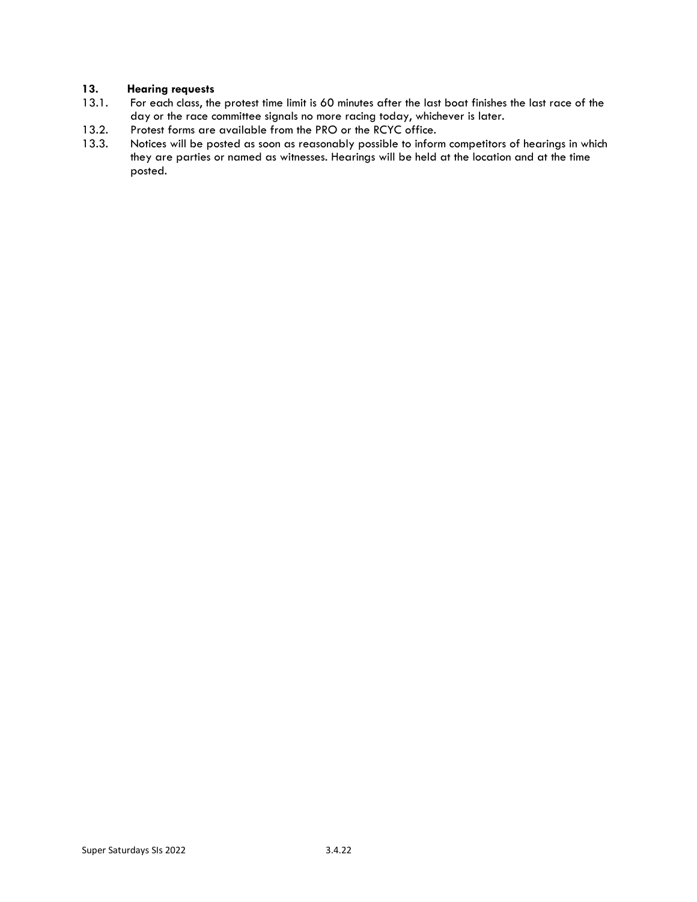#### **13. Hearing requests**

- 13.1. For each class, the protest time limit is 60 minutes after the last boat finishes the last race of the day or the race committee signals no more racing today, whichever is later.
- 13.2. Protest forms are available from the PRO or the RCYC office.
- 13.3. Notices will be posted as soon as reasonably possible to inform competitors of hearings in which they are parties or named as witnesses. Hearings will be held at the location and at the time posted.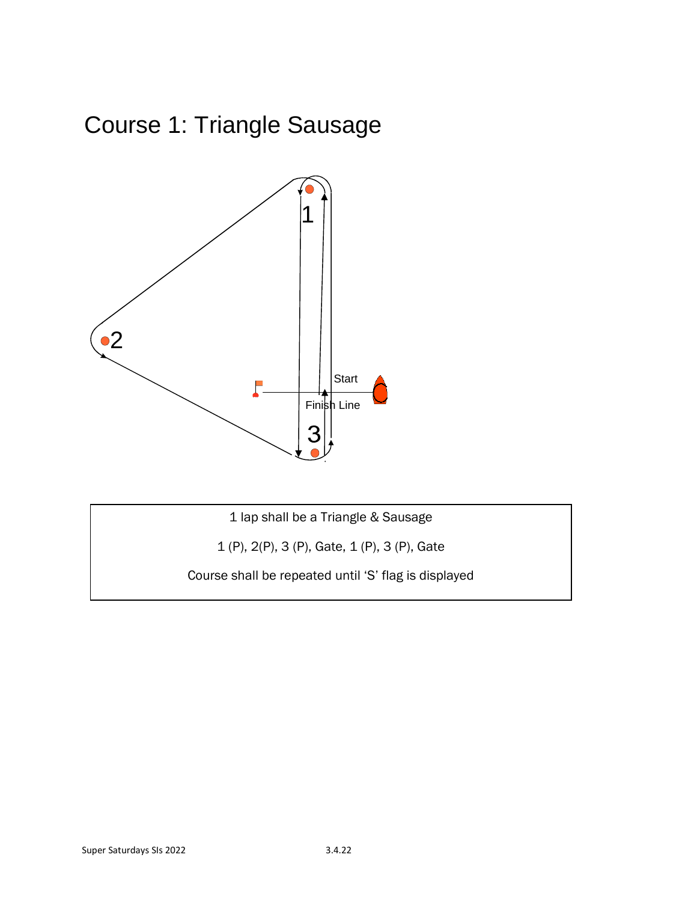# Course 1: Triangle Sausage



1 lap shall be a Triangle & Sausage

1 (P), 2(P), 3 (P), Gate, 1 (P), 3 (P), Gate

Course shall be repeated until 'S' flag is displayed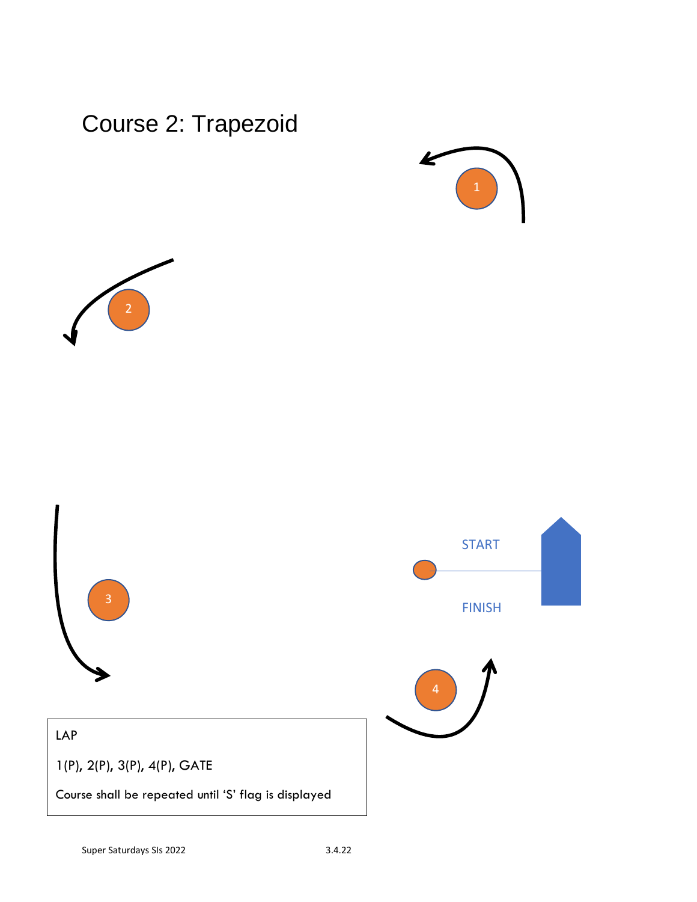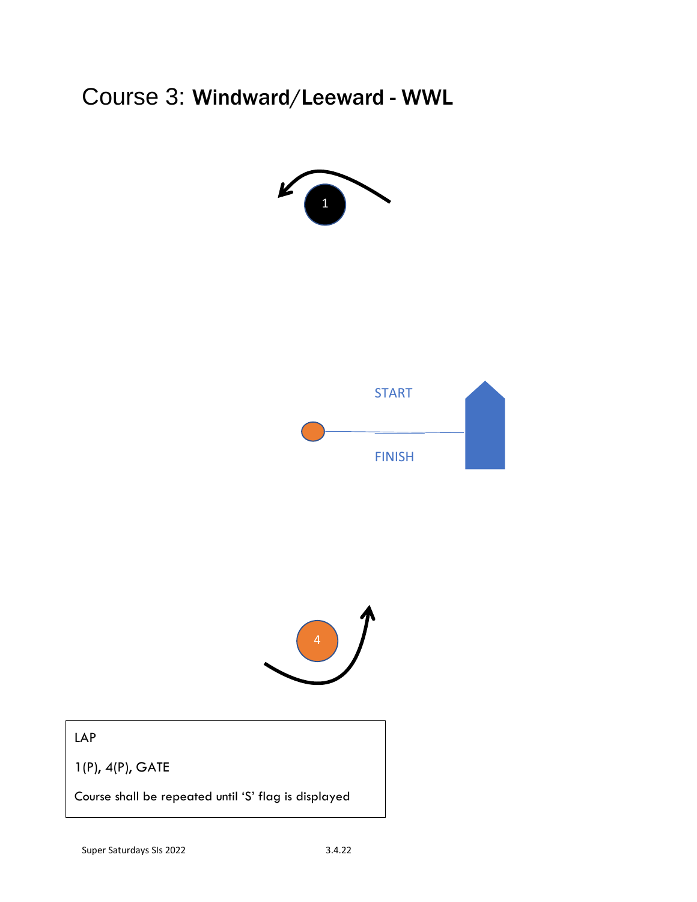Course 3: Windward/Leeward - WWL







LAP

1(P), 4(P), GATE

Course shall be repeated until 'S' flag is displayed